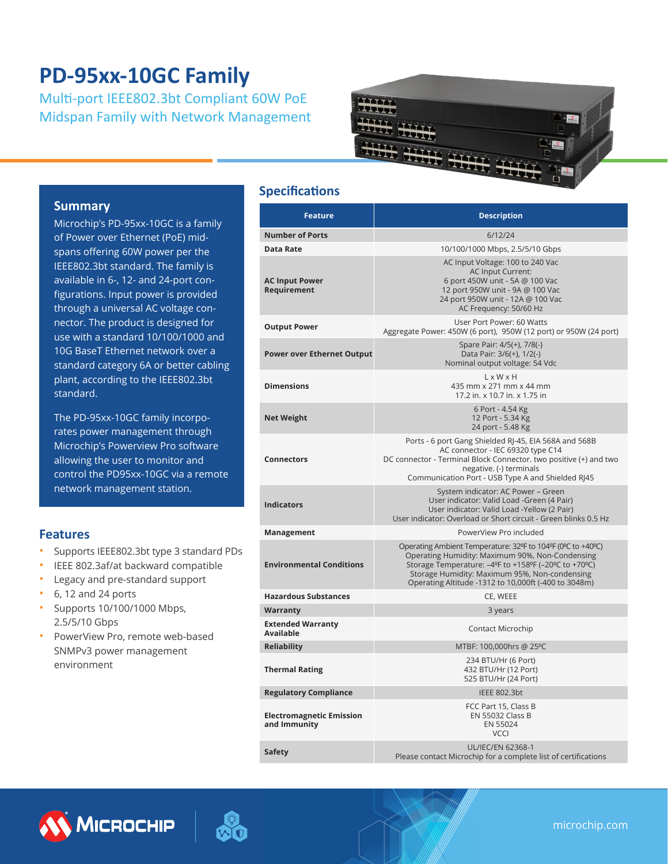# **PD-95xx-10GC Family**

Multi-port IEEE802.3bt Compliant 60W PoE Midspan Family with Network Management



#### **Summary**

Microchip's PD-95xx-10GC is a family of Power over Ethernet (PoE) midspans offering 60W power per the IEEE802.3bt standard. The family is available in 6-, 12- and 24-port configurations. Input power is provided through a universal AC voltage connector. The product is designed for use with a standard 10/100/1000 and 10G BaseT Ethernet network over a standard category 6A or better cabling plant, according to the IEEE802.3bt standard.

The PD-95xx-10GC family incorporates power management through Microchip's Powerview Pro software allowing the user to monitor and control the PD95xx-10GC via a remote network management station.

#### **Features**

- Supports IEEE802.3bt type 3 standard PDs
- IEEE 802.3af/at backward compatible
- Legacy and pre-standard support
- 6, 12 and 24 ports
- Supports 10/100/1000 Mbps, 2.5/5/10 Gbps
- PowerView Pro, remote web-based SNMPv3 power management environment

#### **Specifications**

| <b>Feature</b>                                  | <b>Description</b>                                                                                                                                                                                                                                                              |  |
|-------------------------------------------------|---------------------------------------------------------------------------------------------------------------------------------------------------------------------------------------------------------------------------------------------------------------------------------|--|
| <b>Number of Ports</b>                          | 6/12/24                                                                                                                                                                                                                                                                         |  |
| Data Rate                                       | 10/100/1000 Mbps, 2.5/5/10 Gbps                                                                                                                                                                                                                                                 |  |
| <b>AC Input Power</b><br>Requirement            | AC Input Voltage: 100 to 240 Vac<br><b>AC Input Current:</b><br>6 port 450W unit - 5A @ 100 Vac<br>12 port 950W unit - 9A @ 100 Vac<br>24 port 950W unit - 12A @ 100 Vac<br>AC Frequency: 50/60 Hz                                                                              |  |
| <b>Output Power</b>                             | User Port Power: 60 Watts<br>Aggregate Power: 450W (6 port), 950W (12 port) or 950W (24 port)                                                                                                                                                                                   |  |
| <b>Power over Ethernet Output</b>               | Spare Pair: 4/5(+), 7/8(-)<br>Data Pair: 3/6(+), 1/2(-)<br>Nominal output voltage: 54 Vdc                                                                                                                                                                                       |  |
| <b>Dimensions</b>                               | $L \times W \times H$<br>435 mm x 271 mm x 44 mm<br>17.2 in. x 10.7 in. x 1.75 in                                                                                                                                                                                               |  |
| <b>Net Weight</b>                               | 6 Port - 4.54 Kg<br>12 Port - 5.34 Kg<br>24 port - 5.48 Kg                                                                                                                                                                                                                      |  |
| <b>Connectors</b>                               | Ports - 6 port Gang Shielded RJ-45, EIA 568A and 568B<br>AC connector - IEC 69320 type C14<br>DC connector - Terminal Block Connector. two positive (+) and two<br>negative. (-) terminals<br>Communication Port - USB Type A and Shielded RJ45                                 |  |
| <b>Indicators</b>                               | System indicator: AC Power - Green<br>User indicator: Valid Load -Green (4 Pair)<br>User indicator: Valid Load -Yellow (2 Pair)<br>User indicator: Overload or Short circuit - Green blinks 0.5 Hz                                                                              |  |
| Management                                      | PowerView Pro included                                                                                                                                                                                                                                                          |  |
| <b>Environmental Conditions</b>                 | Operating Ambient Temperature: 32ºF to 104ºF (0°C to +40°C)<br>Operating Humidity: Maximum 90%, Non-Condensing<br>Storage Temperature: -4ºF to +158ºF (-20ºC to +70ºC)<br>Storage Humidity: Maximum 95%, Non-condensing<br>Operating Altitude -1312 to 10,000ft (-400 to 3048m) |  |
| <b>Hazardous Substances</b>                     | CE, WEEE                                                                                                                                                                                                                                                                        |  |
| Warranty                                        | 3 years                                                                                                                                                                                                                                                                         |  |
| <b>Extended Warranty</b><br><b>Available</b>    | Contact Microchip                                                                                                                                                                                                                                                               |  |
| <b>Reliability</b>                              | MTBF: 100,000hrs @ 25°C                                                                                                                                                                                                                                                         |  |
| <b>Thermal Rating</b>                           | 234 BTU/Hr (6 Port)<br>432 BTU/Hr (12 Port)<br>525 BTU/Hr (24 Port)                                                                                                                                                                                                             |  |
| <b>Regulatory Compliance</b>                    | IEEE 802.3bt                                                                                                                                                                                                                                                                    |  |
| <b>Electromagnetic Emission</b><br>and Immunity | FCC Part 15, Class B<br><b>EN 55032 Class B</b><br>EN 55024<br><b>VCCI</b>                                                                                                                                                                                                      |  |
| Safety                                          | <b>UL/IEC/EN 62368-1</b><br>Please contact Microchip for a complete list of certifications                                                                                                                                                                                      |  |